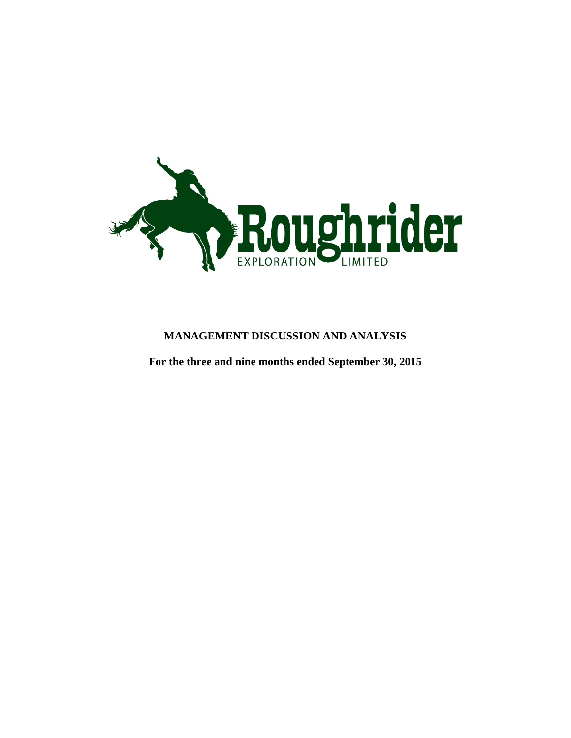

# **MANAGEMENT DISCUSSION AND ANALYSIS**

**For the three and nine months ended September 30, 2015**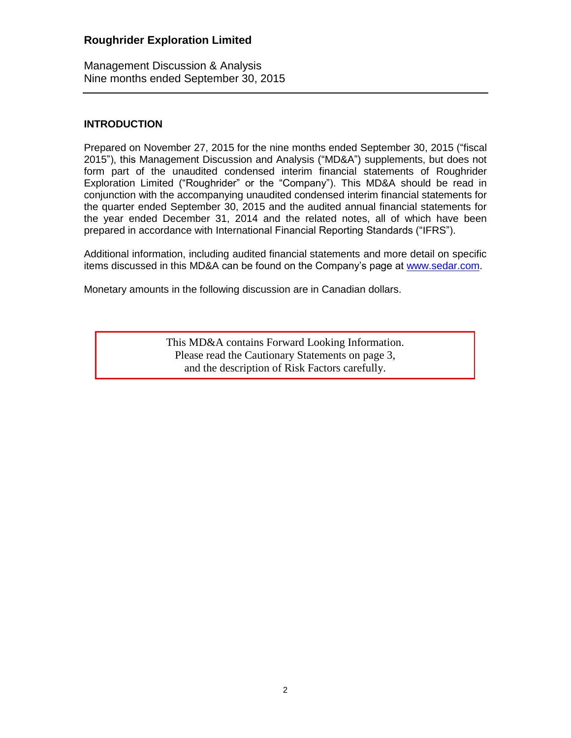Management Discussion & Analysis Nine months ended September 30, 2015

## **INTRODUCTION**

Prepared on November 27, 2015 for the nine months ended September 30, 2015 ("fiscal 2015"), this Management Discussion and Analysis ("MD&A") supplements, but does not form part of the unaudited condensed interim financial statements of Roughrider Exploration Limited ("Roughrider" or the "Company"). This MD&A should be read in conjunction with the accompanying unaudited condensed interim financial statements for the quarter ended September 30, 2015 and the audited annual financial statements for the year ended December 31, 2014 and the related notes, all of which have been prepared in accordance with International Financial Reporting Standards ("IFRS").

Additional information, including audited financial statements and more detail on specific items discussed in this MD&A can be found on the Company's page at [www.sedar.com.](http://www.sedar.com/)

Monetary amounts in the following discussion are in Canadian dollars.

This MD&A contains Forward Looking Information. Please read the Cautionary Statements on page 3, and the description of Risk Factors carefully.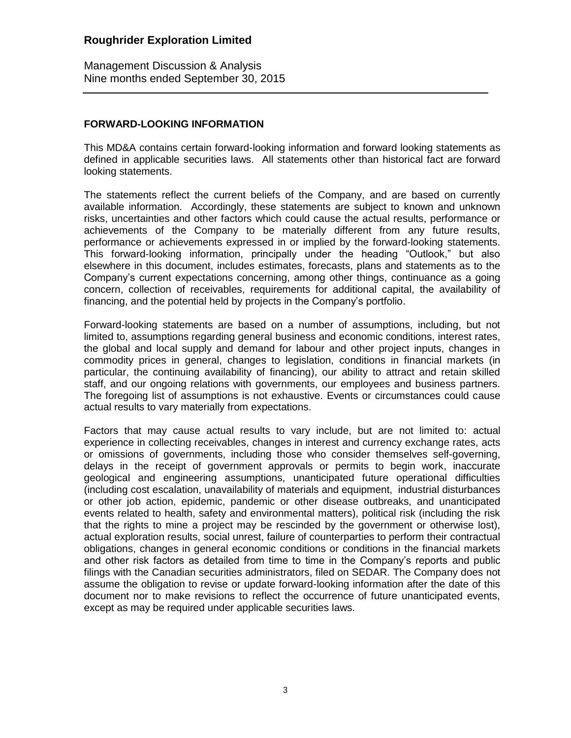Management Discussion & Analysis Nine months ended September 30, 2015

## **FORWARD-LOOKING INFORMATION**

This MD&A contains certain forward-looking information and forward looking statements as defined in applicable securities laws. All statements other than historical fact are forward looking statements.

The statements reflect the current beliefs of the Company, and are based on currently available information. Accordingly, these statements are subject to known and unknown risks, uncertainties and other factors which could cause the actual results, performance or achievements of the Company to be materially different from any future results, performance or achievements expressed in or implied by the forward-looking statements. This forward-looking information, principally under the heading "Outlook," but also elsewhere in this document, includes estimates, forecasts, plans and statements as to the Company's current expectations concerning, among other things, continuance as a going concern, collection of receivables, requirements for additional capital, the availability of financing, and the potential held by projects in the Company's portfolio.

Forward-looking statements are based on a number of assumptions, including, but not limited to, assumptions regarding general business and economic conditions, interest rates, the global and local supply and demand for labour and other project inputs, changes in commodity prices in general, changes to legislation, conditions in financial markets (in particular, the continuing availability of financing), our ability to attract and retain skilled staff, and our ongoing relations with governments, our employees and business partners. The foregoing list of assumptions is not exhaustive. Events or circumstances could cause actual results to vary materially from expectations.

Factors that may cause actual results to vary include, but are not limited to: actual experience in collecting receivables, changes in interest and currency exchange rates, acts or omissions of governments, including those who consider themselves self-governing, delays in the receipt of government approvals or permits to begin work, inaccurate geological and engineering assumptions, unanticipated future operational difficulties (including cost escalation, unavailability of materials and equipment, industrial disturbances or other job action, epidemic, pandemic or other disease outbreaks, and unanticipated events related to health, safety and environmental matters), political risk (including the risk that the rights to mine a project may be rescinded by the government or otherwise lost), actual exploration results, social unrest, failure of counterparties to perform their contractual obligations, changes in general economic conditions or conditions in the financial markets and other risk factors as detailed from time to time in the Company's reports and public filings with the Canadian securities administrators, filed on SEDAR. The Company does not assume the obligation to revise or update forward-looking information after the date of this document nor to make revisions to reflect the occurrence of future unanticipated events, except as may be required under applicable securities laws.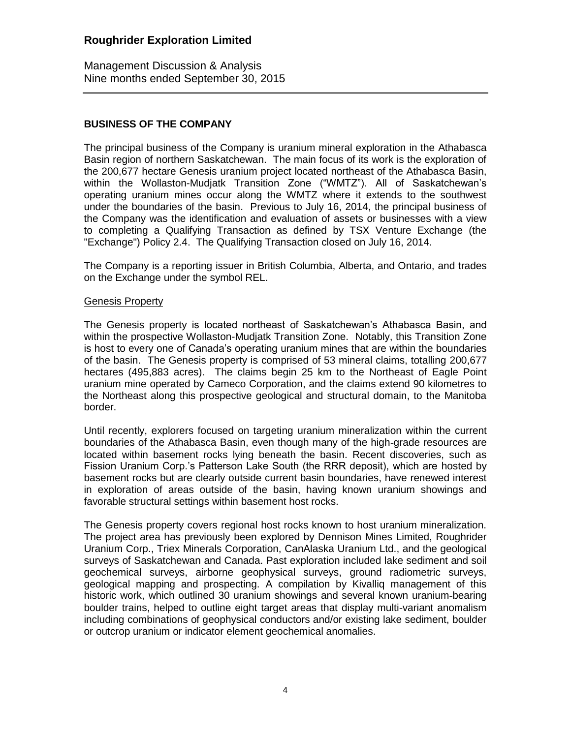Management Discussion & Analysis Nine months ended September 30, 2015

# **BUSINESS OF THE COMPANY**

The principal business of the Company is uranium mineral exploration in the Athabasca Basin region of northern Saskatchewan. The main focus of its work is the exploration of the 200,677 hectare Genesis uranium project located northeast of the Athabasca Basin, within the Wollaston-Mudjatk Transition Zone ("WMTZ"). All of Saskatchewan's operating uranium mines occur along the WMTZ where it extends to the southwest under the boundaries of the basin. Previous to July 16, 2014, the principal business of the Company was the identification and evaluation of assets or businesses with a view to completing a Qualifying Transaction as defined by TSX Venture Exchange (the "Exchange") Policy 2.4. The Qualifying Transaction closed on July 16, 2014.

The Company is a reporting issuer in British Columbia, Alberta, and Ontario, and trades on the Exchange under the symbol REL.

### Genesis Property

The Genesis property is located northeast of Saskatchewan's Athabasca Basin, and within the prospective Wollaston-Mudjatk Transition Zone. Notably, this Transition Zone is host to every one of Canada's operating uranium mines that are within the boundaries of the basin. The Genesis property is comprised of 53 mineral claims, totalling 200,677 hectares (495,883 acres). The claims begin 25 km to the Northeast of Eagle Point uranium mine operated by Cameco Corporation, and the claims extend 90 kilometres to the Northeast along this prospective geological and structural domain, to the Manitoba border.

Until recently, explorers focused on targeting uranium mineralization within the current boundaries of the Athabasca Basin, even though many of the high-grade resources are located within basement rocks lying beneath the basin. Recent discoveries, such as Fission Uranium Corp.'s Patterson Lake South (the RRR deposit), which are hosted by basement rocks but are clearly outside current basin boundaries, have renewed interest in exploration of areas outside of the basin, having known uranium showings and favorable structural settings within basement host rocks.

The Genesis property covers regional host rocks known to host uranium mineralization. The project area has previously been explored by Dennison Mines Limited, Roughrider Uranium Corp., Triex Minerals Corporation, CanAlaska Uranium Ltd., and the geological surveys of Saskatchewan and Canada. Past exploration included lake sediment and soil geochemical surveys, airborne geophysical surveys, ground radiometric surveys, geological mapping and prospecting. A compilation by Kivalliq management of this historic work, which outlined 30 uranium showings and several known uranium-bearing boulder trains, helped to outline eight target areas that display multi-variant anomalism including combinations of geophysical conductors and/or existing lake sediment, boulder or outcrop uranium or indicator element geochemical anomalies.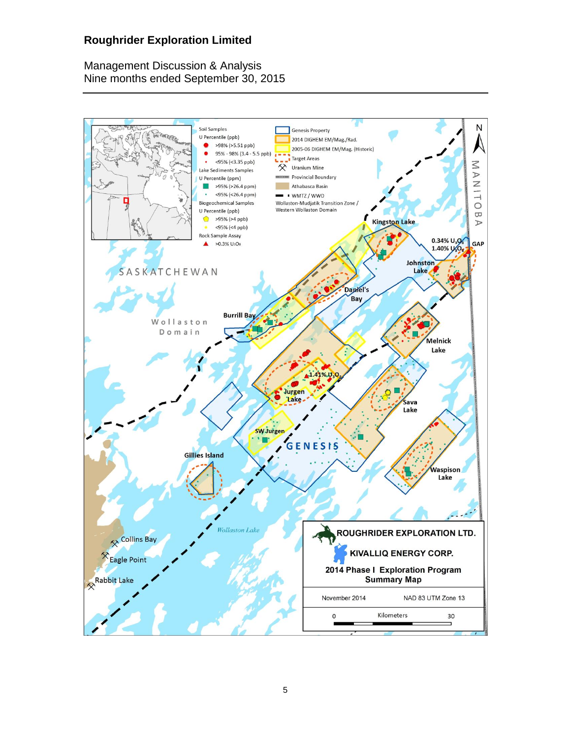Management Discussion & Analysis Nine months ended September 30, 2015

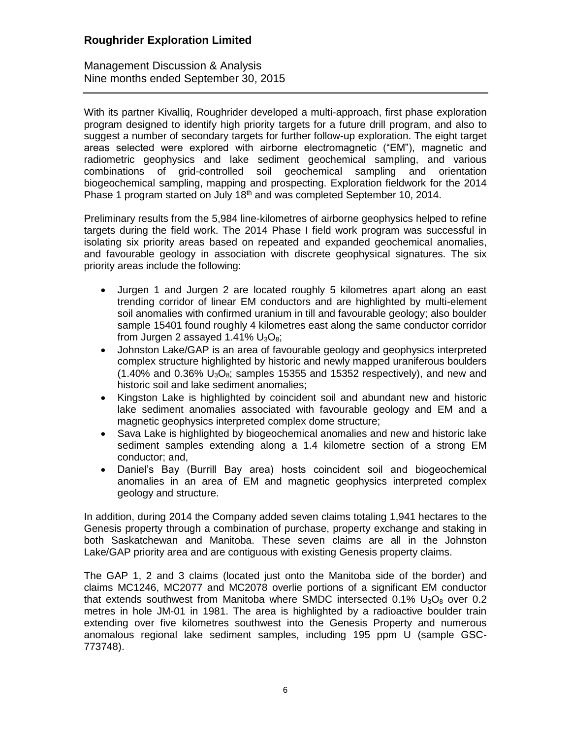Management Discussion & Analysis Nine months ended September 30, 2015

With its partner Kivalliq, Roughrider developed a multi-approach, first phase exploration program designed to identify high priority targets for a future drill program, and also to suggest a number of secondary targets for further follow-up exploration. The eight target areas selected were explored with airborne electromagnetic ("EM"), magnetic and radiometric geophysics and lake sediment geochemical sampling, and various combinations of grid-controlled soil geochemical sampling and orientation biogeochemical sampling, mapping and prospecting. Exploration fieldwork for the 2014 Phase 1 program started on July 18<sup>th</sup> and was completed September 10, 2014.

Preliminary results from the 5,984 line-kilometres of airborne geophysics helped to refine targets during the field work. The 2014 Phase I field work program was successful in isolating six priority areas based on repeated and expanded geochemical anomalies, and favourable geology in association with discrete geophysical signatures. The six priority areas include the following:

- Jurgen 1 and Jurgen 2 are located roughly 5 kilometres apart along an east trending corridor of linear EM conductors and are highlighted by multi-element soil anomalies with confirmed uranium in till and favourable geology; also boulder sample 15401 found roughly 4 kilometres east along the same conductor corridor from Jurgen 2 assayed 1.41%  $U_3O_8$ ;
- Johnston Lake/GAP is an area of favourable geology and geophysics interpreted complex structure highlighted by historic and newly mapped uraniferous boulders  $(1.40\%$  and 0.36%  $U_3O_8$ ; samples 15355 and 15352 respectively), and new and historic soil and lake sediment anomalies;
- Kingston Lake is highlighted by coincident soil and abundant new and historic lake sediment anomalies associated with favourable geology and EM and a magnetic geophysics interpreted complex dome structure;
- Sava Lake is highlighted by biogeochemical anomalies and new and historic lake sediment samples extending along a 1.4 kilometre section of a strong EM conductor; and,
- Daniel's Bay (Burrill Bay area) hosts coincident soil and biogeochemical anomalies in an area of EM and magnetic geophysics interpreted complex geology and structure.

In addition, during 2014 the Company added seven claims totaling 1,941 hectares to the Genesis property through a combination of purchase, property exchange and staking in both Saskatchewan and Manitoba. These seven claims are all in the Johnston Lake/GAP priority area and are contiguous with existing Genesis property claims.

The GAP 1, 2 and 3 claims (located just onto the Manitoba side of the border) and claims MC1246, MC2077 and MC2078 overlie portions of a significant EM conductor that extends southwest from Manitoba where SMDC intersected  $0.1\%$  U<sub>3</sub>O<sub>8</sub> over 0.2 metres in hole JM-01 in 1981. The area is highlighted by a radioactive boulder train extending over five kilometres southwest into the Genesis Property and numerous anomalous regional lake sediment samples, including 195 ppm U (sample GSC-773748).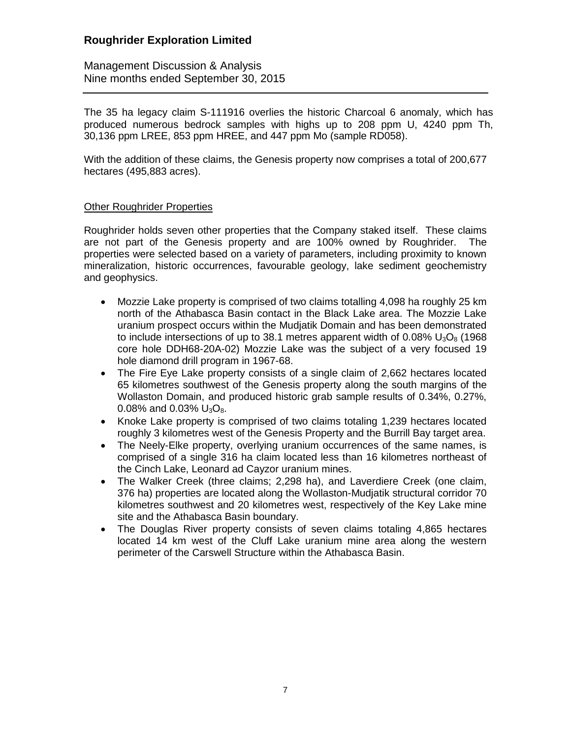Management Discussion & Analysis Nine months ended September 30, 2015

The 35 ha legacy claim S-111916 overlies the historic Charcoal 6 anomaly, which has produced numerous bedrock samples with highs up to 208 ppm U, 4240 ppm Th, 30,136 ppm LREE, 853 ppm HREE, and 447 ppm Mo (sample RD058).

With the addition of these claims, the Genesis property now comprises a total of 200,677 hectares (495,883 acres).

## Other Roughrider Properties

Roughrider holds seven other properties that the Company staked itself. These claims are not part of the Genesis property and are 100% owned by Roughrider. The properties were selected based on a variety of parameters, including proximity to known mineralization, historic occurrences, favourable geology, lake sediment geochemistry and geophysics.

- Mozzie Lake property is comprised of two claims totalling 4,098 ha roughly 25 km north of the Athabasca Basin contact in the Black Lake area. The Mozzie Lake uranium prospect occurs within the Mudjatik Domain and has been demonstrated to include intersections of up to 38.1 metres apparent width of 0.08%  $U_3O_8$  (1968) core hole DDH68-20A-02) Mozzie Lake was the subject of a very focused 19 hole diamond drill program in 1967-68.
- The Fire Eye Lake property consists of a single claim of 2,662 hectares located 65 kilometres southwest of the Genesis property along the south margins of the Wollaston Domain, and produced historic grab sample results of 0.34%, 0.27%, 0.08% and 0.03%  $U_3O_8$ .
- Knoke Lake property is comprised of two claims totaling 1,239 hectares located roughly 3 kilometres west of the Genesis Property and the Burrill Bay target area.
- The Neely-Elke property, overlying uranium occurrences of the same names, is comprised of a single 316 ha claim located less than 16 kilometres northeast of the Cinch Lake, Leonard ad Cayzor uranium mines.
- The Walker Creek (three claims; 2,298 ha), and Laverdiere Creek (one claim, 376 ha) properties are located along the Wollaston-Mudjatik structural corridor 70 kilometres southwest and 20 kilometres west, respectively of the Key Lake mine site and the Athabasca Basin boundary.
- The Douglas River property consists of seven claims totaling 4,865 hectares located 14 km west of the Cluff Lake uranium mine area along the western perimeter of the Carswell Structure within the Athabasca Basin.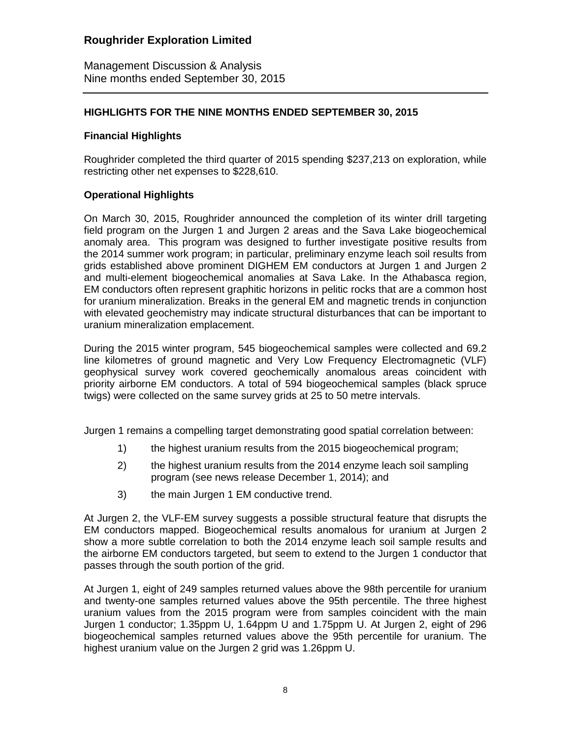Management Discussion & Analysis Nine months ended September 30, 2015

## **HIGHLIGHTS FOR THE NINE MONTHS ENDED SEPTEMBER 30, 2015**

## **Financial Highlights**

Roughrider completed the third quarter of 2015 spending \$237,213 on exploration, while restricting other net expenses to \$228,610.

## **Operational Highlights**

On March 30, 2015, Roughrider announced the completion of its winter drill targeting field program on the Jurgen 1 and Jurgen 2 areas and the Sava Lake biogeochemical anomaly area. This program was designed to further investigate positive results from the 2014 summer work program; in particular, preliminary enzyme leach soil results from grids established above prominent DIGHEM EM conductors at Jurgen 1 and Jurgen 2 and multi-element biogeochemical anomalies at Sava Lake. In the Athabasca region, EM conductors often represent graphitic horizons in pelitic rocks that are a common host for uranium mineralization. Breaks in the general EM and magnetic trends in conjunction with elevated geochemistry may indicate structural disturbances that can be important to uranium mineralization emplacement.

During the 2015 winter program, 545 biogeochemical samples were collected and 69.2 line kilometres of ground magnetic and Very Low Frequency Electromagnetic (VLF) geophysical survey work covered geochemically anomalous areas coincident with priority airborne EM conductors. A total of 594 biogeochemical samples (black spruce twigs) were collected on the same survey grids at 25 to 50 metre intervals.

Jurgen 1 remains a compelling target demonstrating good spatial correlation between:

- 1) the highest uranium results from the 2015 biogeochemical program;
- 2) the highest uranium results from the 2014 enzyme leach soil sampling program (see news release December 1, 2014); and
- 3) the main Jurgen 1 EM conductive trend.

At Jurgen 2, the VLF-EM survey suggests a possible structural feature that disrupts the EM conductors mapped. Biogeochemical results anomalous for uranium at Jurgen 2 show a more subtle correlation to both the 2014 enzyme leach soil sample results and the airborne EM conductors targeted, but seem to extend to the Jurgen 1 conductor that passes through the south portion of the grid.

At Jurgen 1, eight of 249 samples returned values above the 98th percentile for uranium and twenty-one samples returned values above the 95th percentile. The three highest uranium values from the 2015 program were from samples coincident with the main Jurgen 1 conductor; 1.35ppm U, 1.64ppm U and 1.75ppm U. At Jurgen 2, eight of 296 biogeochemical samples returned values above the 95th percentile for uranium. The highest uranium value on the Jurgen 2 grid was 1.26ppm U.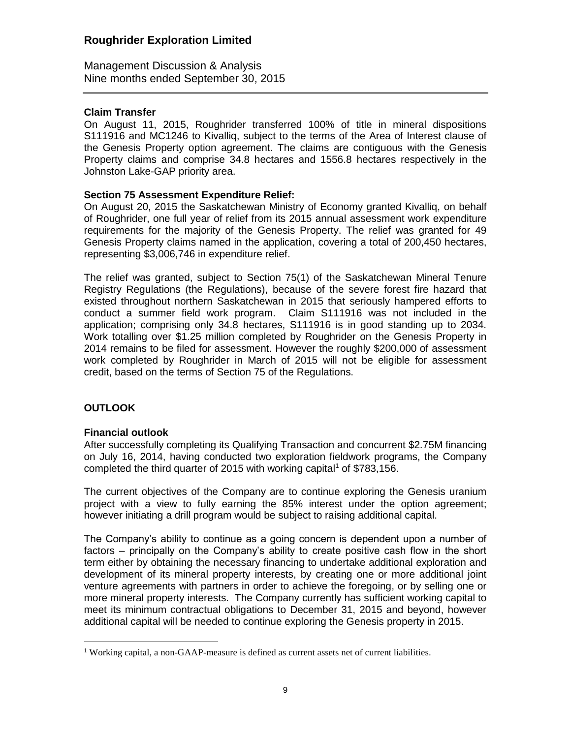Management Discussion & Analysis Nine months ended September 30, 2015

## **Claim Transfer**

On August 11, 2015, Roughrider transferred 100% of title in mineral dispositions S111916 and MC1246 to Kivalliq, subject to the terms of the Area of Interest clause of the Genesis Property option agreement. The claims are contiguous with the Genesis Property claims and comprise 34.8 hectares and 1556.8 hectares respectively in the Johnston Lake-GAP priority area.

## **Section 75 Assessment Expenditure Relief:**

On August 20, 2015 the Saskatchewan Ministry of Economy granted Kivalliq, on behalf of Roughrider, one full year of relief from its 2015 annual assessment work expenditure requirements for the majority of the Genesis Property. The relief was granted for 49 Genesis Property claims named in the application, covering a total of 200,450 hectares, representing \$3,006,746 in expenditure relief.

The relief was granted, subject to Section 75(1) of the Saskatchewan Mineral Tenure Registry Regulations (the Regulations), because of the severe forest fire hazard that existed throughout northern Saskatchewan in 2015 that seriously hampered efforts to conduct a summer field work program. Claim S111916 was not included in the application; comprising only 34.8 hectares, S111916 is in good standing up to 2034. Work totalling over \$1.25 million completed by Roughrider on the Genesis Property in 2014 remains to be filed for assessment. However the roughly \$200,000 of assessment work completed by Roughrider in March of 2015 will not be eligible for assessment credit, based on the terms of Section 75 of the Regulations.

## **OUTLOOK**

 $\overline{a}$ 

## **Financial outlook**

After successfully completing its Qualifying Transaction and concurrent \$2.75M financing on July 16, 2014, having conducted two exploration fieldwork programs, the Company completed the third quarter of 2015 with working capital<sup>1</sup> of \$783,156.

The current objectives of the Company are to continue exploring the Genesis uranium project with a view to fully earning the 85% interest under the option agreement; however initiating a drill program would be subject to raising additional capital.

The Company's ability to continue as a going concern is dependent upon a number of factors – principally on the Company's ability to create positive cash flow in the short term either by obtaining the necessary financing to undertake additional exploration and development of its mineral property interests, by creating one or more additional joint venture agreements with partners in order to achieve the foregoing, or by selling one or more mineral property interests. The Company currently has sufficient working capital to meet its minimum contractual obligations to December 31, 2015 and beyond, however additional capital will be needed to continue exploring the Genesis property in 2015.

<sup>&</sup>lt;sup>1</sup> Working capital, a non-GAAP-measure is defined as current assets net of current liabilities.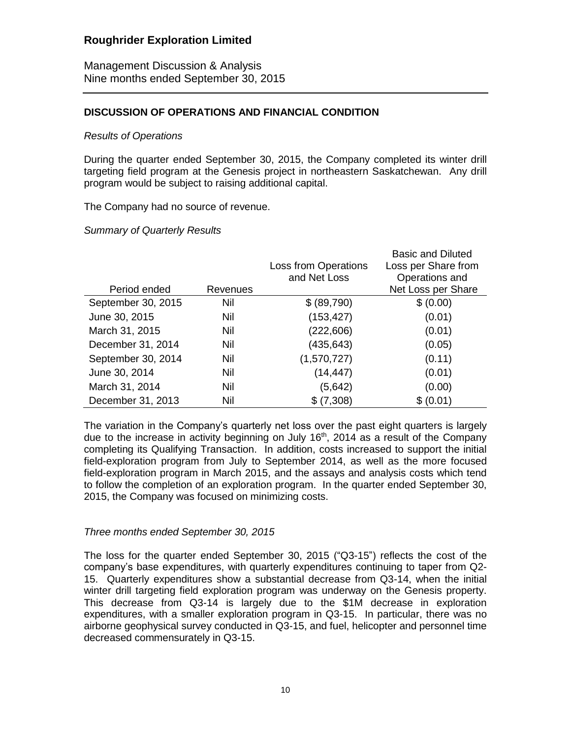Management Discussion & Analysis Nine months ended September 30, 2015

## **DISCUSSION OF OPERATIONS AND FINANCIAL CONDITION**

#### *Results of Operations*

During the quarter ended September 30, 2015, the Company completed its winter drill targeting field program at the Genesis project in northeastern Saskatchewan. Any drill program would be subject to raising additional capital.

The Company had no source of revenue.

### *Summary of Quarterly Results*

|                    |            |                             | <b>Basic and Diluted</b> |
|--------------------|------------|-----------------------------|--------------------------|
|                    |            | <b>Loss from Operations</b> | Loss per Share from      |
|                    |            | and Net Loss                | Operations and           |
| Period ended       | Revenues   |                             | Net Loss per Share       |
| September 30, 2015 | Nil        | \$ (89,790)                 | \$ (0.00)                |
| June 30, 2015      | Nil        | (153, 427)                  | (0.01)                   |
| March 31, 2015     | Nil        | (222, 606)                  | (0.01)                   |
| December 31, 2014  | Nil        | (435,643)                   | (0.05)                   |
| September 30, 2014 | Nil        | (1,570,727)                 | (0.11)                   |
| June 30, 2014      | Nil        | (14, 447)                   | (0.01)                   |
| March 31, 2014     | <b>Nil</b> | (5,642)                     | (0.00)                   |
| December 31, 2013  | Nil        | \$(7,308)                   | \$ (0.01)                |

The variation in the Company's quarterly net loss over the past eight quarters is largely due to the increase in activity beginning on July 16<sup>th</sup>, 2014 as a result of the Company completing its Qualifying Transaction. In addition, costs increased to support the initial field-exploration program from July to September 2014, as well as the more focused field-exploration program in March 2015, and the assays and analysis costs which tend to follow the completion of an exploration program. In the quarter ended September 30, 2015, the Company was focused on minimizing costs.

#### *Three months ended September 30, 2015*

The loss for the quarter ended September 30, 2015 ("Q3-15") reflects the cost of the company's base expenditures, with quarterly expenditures continuing to taper from Q2- 15. Quarterly expenditures show a substantial decrease from Q3-14, when the initial winter drill targeting field exploration program was underway on the Genesis property. This decrease from Q3-14 is largely due to the \$1M decrease in exploration expenditures, with a smaller exploration program in Q3-15. In particular, there was no airborne geophysical survey conducted in Q3-15, and fuel, helicopter and personnel time decreased commensurately in Q3-15.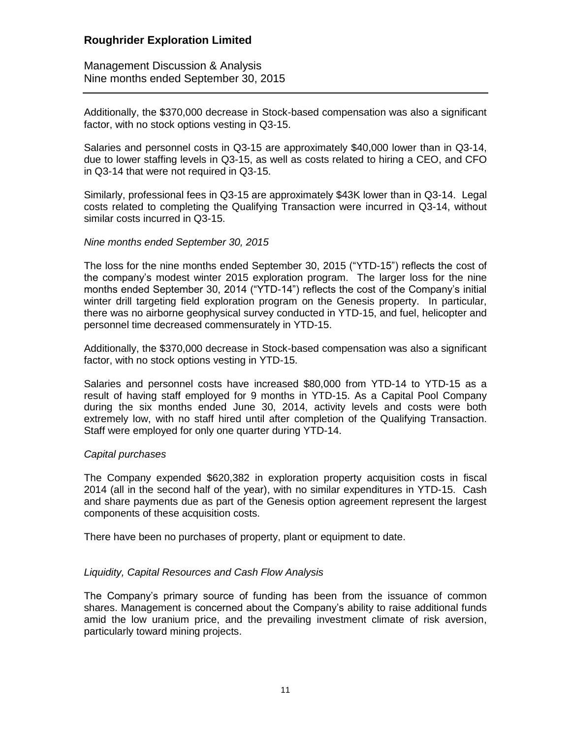Management Discussion & Analysis Nine months ended September 30, 2015

Additionally, the \$370,000 decrease in Stock-based compensation was also a significant factor, with no stock options vesting in Q3-15.

Salaries and personnel costs in Q3-15 are approximately \$40,000 lower than in Q3-14, due to lower staffing levels in Q3-15, as well as costs related to hiring a CEO, and CFO in Q3-14 that were not required in Q3-15.

Similarly, professional fees in Q3-15 are approximately \$43K lower than in Q3-14. Legal costs related to completing the Qualifying Transaction were incurred in Q3-14, without similar costs incurred in Q3-15.

### *Nine months ended September 30, 2015*

The loss for the nine months ended September 30, 2015 ("YTD-15") reflects the cost of the company's modest winter 2015 exploration program. The larger loss for the nine months ended September 30, 2014 ("YTD-14") reflects the cost of the Company's initial winter drill targeting field exploration program on the Genesis property. In particular, there was no airborne geophysical survey conducted in YTD-15, and fuel, helicopter and personnel time decreased commensurately in YTD-15.

Additionally, the \$370,000 decrease in Stock-based compensation was also a significant factor, with no stock options vesting in YTD-15.

Salaries and personnel costs have increased \$80,000 from YTD-14 to YTD-15 as a result of having staff employed for 9 months in YTD-15. As a Capital Pool Company during the six months ended June 30, 2014, activity levels and costs were both extremely low, with no staff hired until after completion of the Qualifying Transaction. Staff were employed for only one quarter during YTD-14.

## *Capital purchases*

The Company expended \$620,382 in exploration property acquisition costs in fiscal 2014 (all in the second half of the year), with no similar expenditures in YTD-15. Cash and share payments due as part of the Genesis option agreement represent the largest components of these acquisition costs.

There have been no purchases of property, plant or equipment to date.

## *Liquidity, Capital Resources and Cash Flow Analysis*

The Company's primary source of funding has been from the issuance of common shares. Management is concerned about the Company's ability to raise additional funds amid the low uranium price, and the prevailing investment climate of risk aversion, particularly toward mining projects.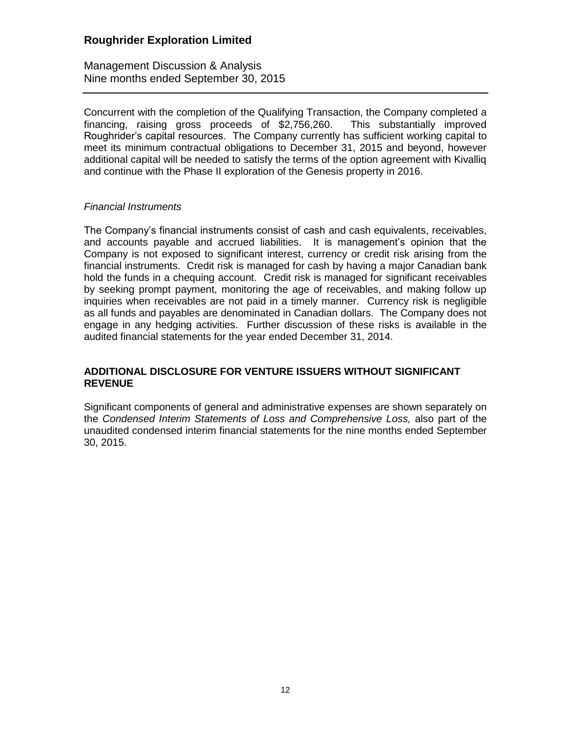Management Discussion & Analysis Nine months ended September 30, 2015

Concurrent with the completion of the Qualifying Transaction, the Company completed a financing, raising gross proceeds of \$2,756,260. This substantially improved Roughrider's capital resources. The Company currently has sufficient working capital to meet its minimum contractual obligations to December 31, 2015 and beyond, however additional capital will be needed to satisfy the terms of the option agreement with Kivalliq and continue with the Phase II exploration of the Genesis property in 2016.

### *Financial Instruments*

The Company's financial instruments consist of cash and cash equivalents, receivables, and accounts payable and accrued liabilities. It is management's opinion that the Company is not exposed to significant interest, currency or credit risk arising from the financial instruments. Credit risk is managed for cash by having a major Canadian bank hold the funds in a chequing account. Credit risk is managed for significant receivables by seeking prompt payment, monitoring the age of receivables, and making follow up inquiries when receivables are not paid in a timely manner. Currency risk is negligible as all funds and payables are denominated in Canadian dollars. The Company does not engage in any hedging activities. Further discussion of these risks is available in the audited financial statements for the year ended December 31, 2014.

## **ADDITIONAL DISCLOSURE FOR VENTURE ISSUERS WITHOUT SIGNIFICANT REVENUE**

Significant components of general and administrative expenses are shown separately on the *Condensed Interim Statements of Loss and Comprehensive Loss,* also part of the unaudited condensed interim financial statements for the nine months ended September 30, 2015.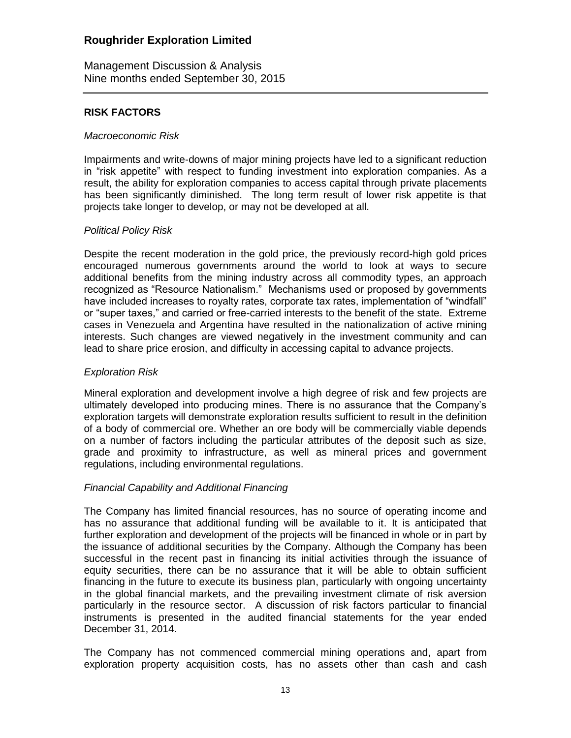Management Discussion & Analysis Nine months ended September 30, 2015

## **RISK FACTORS**

### *Macroeconomic Risk*

Impairments and write-downs of major mining projects have led to a significant reduction in "risk appetite" with respect to funding investment into exploration companies. As a result, the ability for exploration companies to access capital through private placements has been significantly diminished. The long term result of lower risk appetite is that projects take longer to develop, or may not be developed at all.

## *Political Policy Risk*

Despite the recent moderation in the gold price, the previously record-high gold prices encouraged numerous governments around the world to look at ways to secure additional benefits from the mining industry across all commodity types, an approach recognized as "Resource Nationalism." Mechanisms used or proposed by governments have included increases to royalty rates, corporate tax rates, implementation of "windfall" or "super taxes," and carried or free-carried interests to the benefit of the state. Extreme cases in Venezuela and Argentina have resulted in the nationalization of active mining interests. Such changes are viewed negatively in the investment community and can lead to share price erosion, and difficulty in accessing capital to advance projects.

## *Exploration Risk*

Mineral exploration and development involve a high degree of risk and few projects are ultimately developed into producing mines. There is no assurance that the Company's exploration targets will demonstrate exploration results sufficient to result in the definition of a body of commercial ore. Whether an ore body will be commercially viable depends on a number of factors including the particular attributes of the deposit such as size, grade and proximity to infrastructure, as well as mineral prices and government regulations, including environmental regulations.

## *Financial Capability and Additional Financing*

The Company has limited financial resources, has no source of operating income and has no assurance that additional funding will be available to it. It is anticipated that further exploration and development of the projects will be financed in whole or in part by the issuance of additional securities by the Company. Although the Company has been successful in the recent past in financing its initial activities through the issuance of equity securities, there can be no assurance that it will be able to obtain sufficient financing in the future to execute its business plan, particularly with ongoing uncertainty in the global financial markets, and the prevailing investment climate of risk aversion particularly in the resource sector. A discussion of risk factors particular to financial instruments is presented in the audited financial statements for the year ended December 31, 2014.

The Company has not commenced commercial mining operations and, apart from exploration property acquisition costs, has no assets other than cash and cash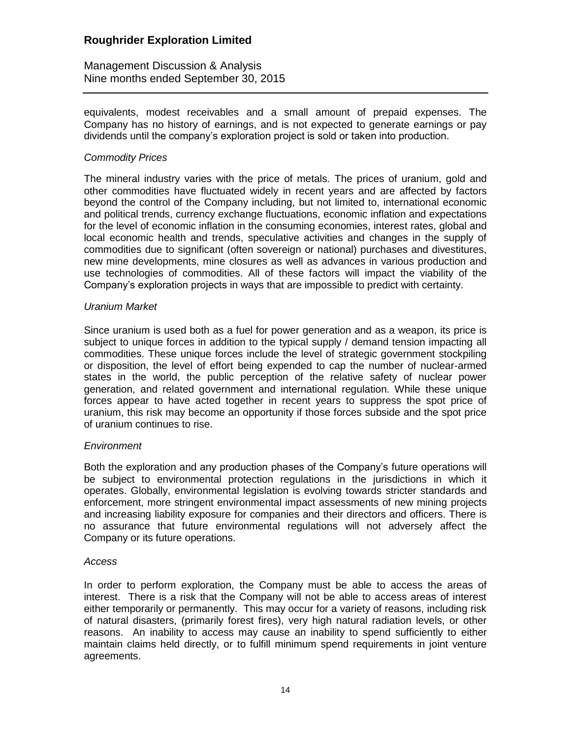Management Discussion & Analysis Nine months ended September 30, 2015

equivalents, modest receivables and a small amount of prepaid expenses. The Company has no history of earnings, and is not expected to generate earnings or pay dividends until the company's exploration project is sold or taken into production.

### *Commodity Prices*

The mineral industry varies with the price of metals. The prices of uranium, gold and other commodities have fluctuated widely in recent years and are affected by factors beyond the control of the Company including, but not limited to, international economic and political trends, currency exchange fluctuations, economic inflation and expectations for the level of economic inflation in the consuming economies, interest rates, global and local economic health and trends, speculative activities and changes in the supply of commodities due to significant (often sovereign or national) purchases and divestitures, new mine developments, mine closures as well as advances in various production and use technologies of commodities. All of these factors will impact the viability of the Company's exploration projects in ways that are impossible to predict with certainty.

### *Uranium Market*

Since uranium is used both as a fuel for power generation and as a weapon, its price is subject to unique forces in addition to the typical supply / demand tension impacting all commodities. These unique forces include the level of strategic government stockpiling or disposition, the level of effort being expended to cap the number of nuclear-armed states in the world, the public perception of the relative safety of nuclear power generation, and related government and international regulation. While these unique forces appear to have acted together in recent years to suppress the spot price of uranium, this risk may become an opportunity if those forces subside and the spot price of uranium continues to rise.

## *Environment*

Both the exploration and any production phases of the Company's future operations will be subject to environmental protection regulations in the jurisdictions in which it operates. Globally, environmental legislation is evolving towards stricter standards and enforcement, more stringent environmental impact assessments of new mining projects and increasing liability exposure for companies and their directors and officers. There is no assurance that future environmental regulations will not adversely affect the Company or its future operations.

#### *Access*

In order to perform exploration, the Company must be able to access the areas of interest. There is a risk that the Company will not be able to access areas of interest either temporarily or permanently. This may occur for a variety of reasons, including risk of natural disasters, (primarily forest fires), very high natural radiation levels, or other reasons. An inability to access may cause an inability to spend sufficiently to either maintain claims held directly, or to fulfill minimum spend requirements in joint venture agreements.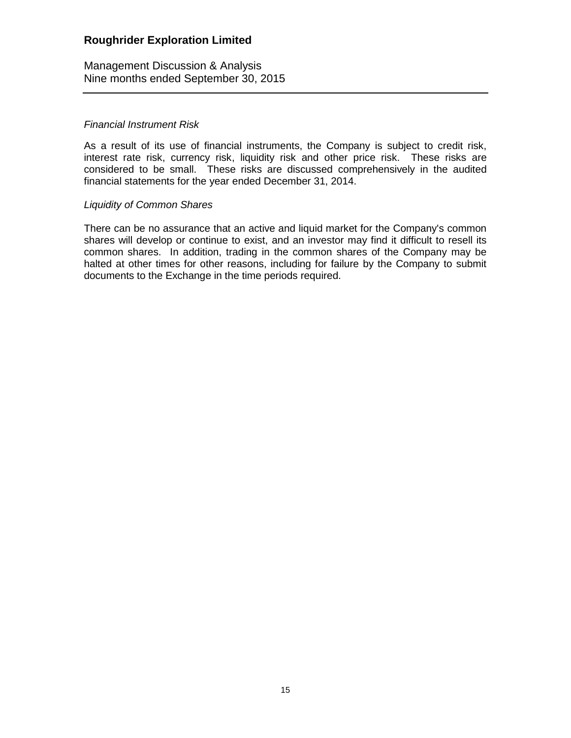Management Discussion & Analysis Nine months ended September 30, 2015

## *Financial Instrument Risk*

As a result of its use of financial instruments, the Company is subject to credit risk, interest rate risk, currency risk, liquidity risk and other price risk. These risks are considered to be small. These risks are discussed comprehensively in the audited financial statements for the year ended December 31, 2014.

### *Liquidity of Common Shares*

There can be no assurance that an active and liquid market for the Company's common shares will develop or continue to exist, and an investor may find it difficult to resell its common shares. In addition, trading in the common shares of the Company may be halted at other times for other reasons, including for failure by the Company to submit documents to the Exchange in the time periods required.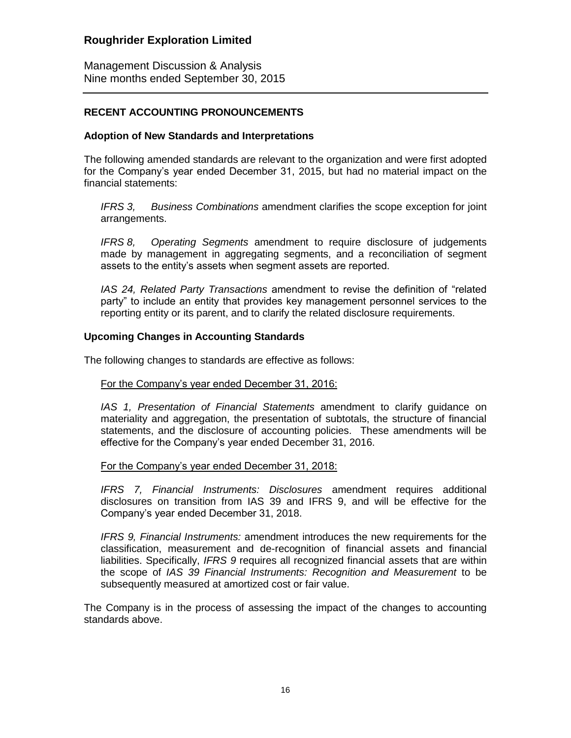Management Discussion & Analysis Nine months ended September 30, 2015

## **RECENT ACCOUNTING PRONOUNCEMENTS**

## **Adoption of New Standards and Interpretations**

The following amended standards are relevant to the organization and were first adopted for the Company's year ended December 31, 2015, but had no material impact on the financial statements:

*IFRS 3, Business Combinations* amendment clarifies the scope exception for joint arrangements.

*IFRS 8, Operating Segments* amendment to require disclosure of judgements made by management in aggregating segments, and a reconciliation of segment assets to the entity's assets when segment assets are reported.

*IAS 24, Related Party Transactions* amendment to revise the definition of "related party" to include an entity that provides key management personnel services to the reporting entity or its parent, and to clarify the related disclosure requirements.

### **Upcoming Changes in Accounting Standards**

The following changes to standards are effective as follows:

## For the Company's year ended December 31, 2016:

*IAS 1, Presentation of Financial Statements* amendment to clarify guidance on materiality and aggregation, the presentation of subtotals, the structure of financial statements, and the disclosure of accounting policies. These amendments will be effective for the Company's year ended December 31, 2016.

#### For the Company's year ended December 31, 2018:

*IFRS 7, Financial Instruments: Disclosures* amendment requires additional disclosures on transition from IAS 39 and IFRS 9, and will be effective for the Company's year ended December 31, 2018.

*IFRS 9, Financial Instruments:* amendment introduces the new requirements for the classification, measurement and de-recognition of financial assets and financial liabilities. Specifically, *IFRS 9* requires all recognized financial assets that are within the scope of *IAS 39 Financial Instruments: Recognition and Measurement* to be subsequently measured at amortized cost or fair value.

The Company is in the process of assessing the impact of the changes to accounting standards above.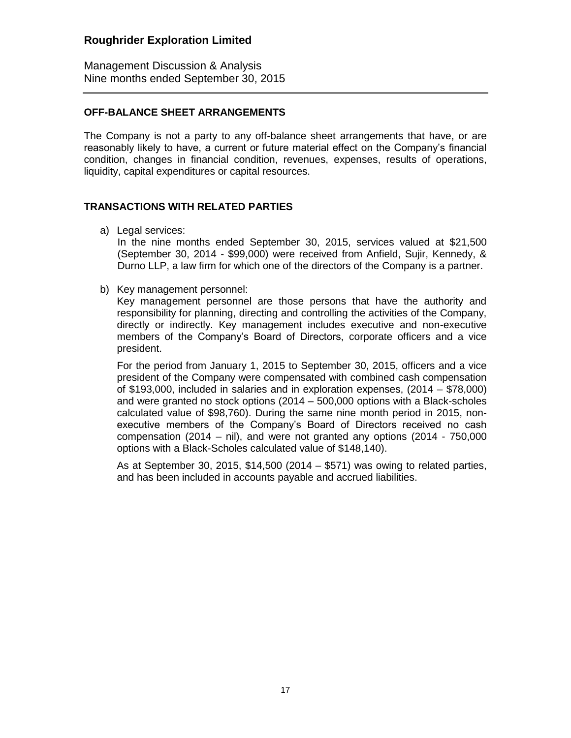Management Discussion & Analysis Nine months ended September 30, 2015

## **OFF-BALANCE SHEET ARRANGEMENTS**

The Company is not a party to any off-balance sheet arrangements that have, or are reasonably likely to have, a current or future material effect on the Company's financial condition, changes in financial condition, revenues, expenses, results of operations, liquidity, capital expenditures or capital resources.

## **TRANSACTIONS WITH RELATED PARTIES**

a) Legal services:

In the nine months ended September 30, 2015, services valued at \$21,500 (September 30, 2014 - \$99,000) were received from Anfield, Sujir, Kennedy, & Durno LLP, a law firm for which one of the directors of the Company is a partner.

b) Key management personnel:

Key management personnel are those persons that have the authority and responsibility for planning, directing and controlling the activities of the Company, directly or indirectly. Key management includes executive and non-executive members of the Company's Board of Directors, corporate officers and a vice president.

For the period from January 1, 2015 to September 30, 2015, officers and a vice president of the Company were compensated with combined cash compensation of \$193,000, included in salaries and in exploration expenses, (2014 – \$78,000) and were granted no stock options (2014 – 500,000 options with a Black-scholes calculated value of \$98,760). During the same nine month period in 2015, nonexecutive members of the Company's Board of Directors received no cash compensation (2014 – nil), and were not granted any options (2014 - 750,000 options with a Black-Scholes calculated value of \$148,140).

As at September 30, 2015, \$14,500 (2014 – \$571) was owing to related parties, and has been included in accounts payable and accrued liabilities.